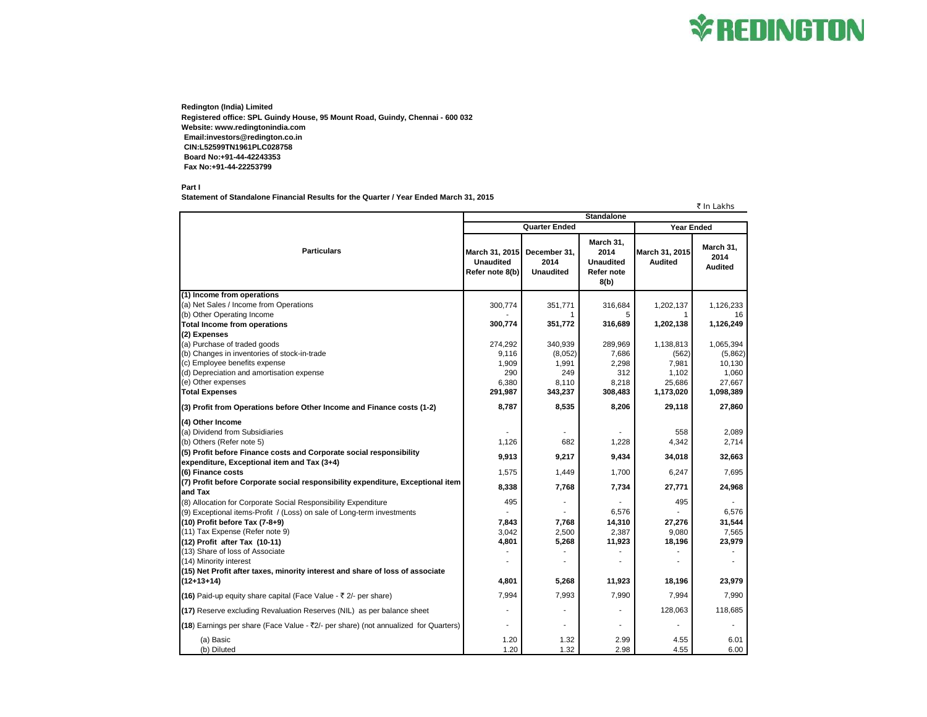## **\*REDINGTON**

**Redington (India) Limited Registered office: SPL Guindy House, 95 Mount Road, Guindy, Chennai - 600 032 Website: www.redingtonindia.com Email:investors@redington.co.in CIN:L52599TN1961PLC028758 Board No:+91-44-42243353 Fax No:+91-44-22253799**

**Part I**

**Statement of Standalone Financial Results for the Quarter / Year Ended March 31, 2015**

₹ In Lakhs

| <b>Standalone</b>                                                                          |                                                       |                                          |                                                                    |                                  |                                     |  |
|--------------------------------------------------------------------------------------------|-------------------------------------------------------|------------------------------------------|--------------------------------------------------------------------|----------------------------------|-------------------------------------|--|
|                                                                                            | <b>Quarter Ended</b>                                  |                                          |                                                                    | <b>Year Ended</b>                |                                     |  |
| <b>Particulars</b>                                                                         | March 31, 2015<br><b>Unaudited</b><br>Refer note 8(b) | December 31,<br>2014<br><b>Unaudited</b> | March 31,<br>2014<br><b>Unaudited</b><br><b>Refer note</b><br>8(b) | March 31, 2015<br><b>Audited</b> | March 31,<br>2014<br><b>Audited</b> |  |
| (1) Income from operations                                                                 |                                                       |                                          |                                                                    |                                  |                                     |  |
| (a) Net Sales / Income from Operations                                                     | 300,774                                               | 351,771                                  | 316,684                                                            | 1,202,137                        | 1,126,233                           |  |
| (b) Other Operating Income                                                                 |                                                       |                                          | 5                                                                  |                                  | 16                                  |  |
| <b>Total Income from operations</b>                                                        | 300,774                                               | 351,772                                  | 316,689                                                            | 1,202,138                        | 1,126,249                           |  |
| (2) Expenses                                                                               |                                                       |                                          |                                                                    |                                  |                                     |  |
| (a) Purchase of traded goods                                                               | 274,292                                               | 340,939                                  | 289,969                                                            | 1,138,813                        | 1,065,394                           |  |
| (b) Changes in inventories of stock-in-trade                                               | 9,116                                                 | (8,052)                                  | 7,686                                                              | (562)                            | (5,862)                             |  |
| (c) Employee benefits expense                                                              | 1,909                                                 | 1,991                                    | 2,298                                                              | 7,981                            | 10,130                              |  |
| (d) Depreciation and amortisation expense<br>(e) Other expenses                            | 290<br>6,380                                          | 249<br>8,110                             | 312<br>8,218                                                       | 1,102<br>25,686                  | 1,060<br>27,667                     |  |
| <b>Total Expenses</b>                                                                      | 291,987                                               | 343,237                                  | 308,483                                                            | 1,173,020                        | 1,098,389                           |  |
|                                                                                            |                                                       |                                          |                                                                    |                                  |                                     |  |
| (3) Profit from Operations before Other Income and Finance costs (1-2)                     | 8,787                                                 | 8,535                                    | 8,206                                                              | 29,118                           | 27,860                              |  |
| (4) Other Income                                                                           |                                                       |                                          |                                                                    |                                  |                                     |  |
| (a) Dividend from Subsidiaries                                                             |                                                       |                                          |                                                                    | 558                              | 2,089                               |  |
| (b) Others (Refer note 5)                                                                  | 1,126                                                 | 682                                      | 1,228                                                              | 4,342                            | 2,714                               |  |
| (5) Profit before Finance costs and Corporate social responsibility                        | 9,913                                                 | 9,217                                    | 9,434                                                              | 34,018                           | 32,663                              |  |
| expenditure, Exceptional item and Tax (3+4)                                                |                                                       |                                          |                                                                    |                                  |                                     |  |
| (6) Finance costs                                                                          | 1,575                                                 | 1,449                                    | 1,700                                                              | 6,247                            | 7,695                               |  |
| (7) Profit before Corporate social responsibility expenditure, Exceptional item<br>and Tax | 8,338                                                 | 7,768                                    | 7,734                                                              | 27,771                           | 24,968                              |  |
| (8) Allocation for Corporate Social Responsibility Expenditure                             | 495                                                   |                                          |                                                                    | 495                              |                                     |  |
| (9) Exceptional items-Profit / (Loss) on sale of Long-term investments                     |                                                       |                                          | 6.576                                                              |                                  | 6.576                               |  |
| (10) Profit before Tax (7-8+9)                                                             | 7,843                                                 | 7,768                                    | 14,310                                                             | 27,276                           | 31,544                              |  |
| (11) Tax Expense (Refer note 9)                                                            | 3,042                                                 | 2,500                                    | 2,387                                                              | 9,080                            | 7,565                               |  |
| (12) Profit after Tax (10-11)                                                              | 4,801                                                 | 5,268                                    | 11,923                                                             | 18,196                           | 23,979                              |  |
| (13) Share of loss of Associate                                                            |                                                       |                                          |                                                                    |                                  |                                     |  |
| (14) Minority interest                                                                     |                                                       | ÷                                        | ٠                                                                  |                                  |                                     |  |
| (15) Net Profit after taxes, minority interest and share of loss of associate              |                                                       |                                          |                                                                    |                                  |                                     |  |
| $(12+13+14)$                                                                               | 4,801                                                 | 5,268                                    | 11,923                                                             | 18,196                           | 23,979                              |  |
| (16) Paid-up equity share capital (Face Value - ₹ 2/- per share)                           | 7,994                                                 | 7,993                                    | 7,990                                                              | 7,994                            | 7,990                               |  |
| (17) Reserve excluding Revaluation Reserves (NIL) as per balance sheet                     |                                                       |                                          |                                                                    | 128,063                          | 118,685                             |  |
| (18) Earnings per share (Face Value - ₹2/- per share) (not annualized for Quarters)        |                                                       | ٠                                        |                                                                    |                                  |                                     |  |
| (a) Basic                                                                                  | 1.20                                                  | 1.32                                     | 2.99                                                               | 4.55                             | 6.01                                |  |
| (b) Diluted                                                                                | 1.20                                                  | 1.32                                     | 2.98                                                               | 4.55                             | 6.00                                |  |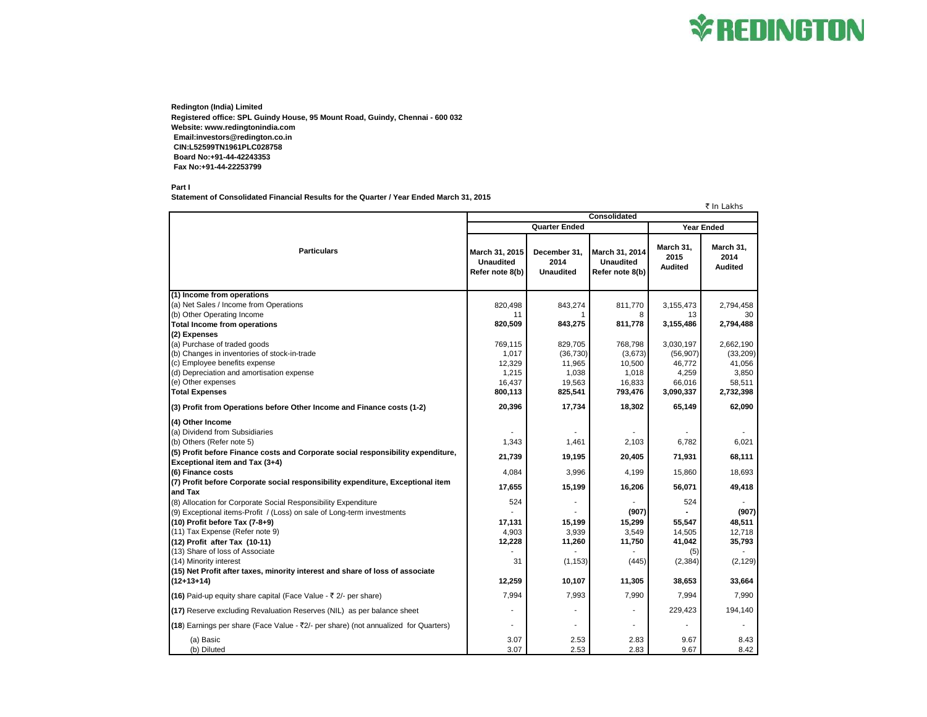## **\*REDINGTON**

**Redington (India) Limited Registered office: SPL Guindy House, 95 Mount Road, Guindy, Chennai - 600 032 Website: www.redingtonindia.com Email:investors@redington.co.in CIN:L52599TN1961PLC028758 Board No:+91-44-42243353 Fax No:+91-44-22253799**

**Part I**

**Statement of Consolidated Financial Results for the Quarter / Year Ended March 31, 2015**

₹ In Lakhs

|                                                                                     | Consolidated                                          |                                          |                                                       |                                     |                                     |  |  |
|-------------------------------------------------------------------------------------|-------------------------------------------------------|------------------------------------------|-------------------------------------------------------|-------------------------------------|-------------------------------------|--|--|
|                                                                                     | <b>Quarter Ended</b>                                  |                                          |                                                       |                                     | <b>Year Ended</b>                   |  |  |
| <b>Particulars</b>                                                                  | March 31, 2015<br><b>Unaudited</b><br>Refer note 8(b) | December 31.<br>2014<br><b>Unaudited</b> | March 31, 2014<br><b>Unaudited</b><br>Refer note 8(b) | March 31,<br>2015<br><b>Audited</b> | March 31,<br>2014<br><b>Audited</b> |  |  |
| (1) Income from operations                                                          |                                                       |                                          |                                                       |                                     |                                     |  |  |
| (a) Net Sales / Income from Operations                                              | 820,498                                               | 843,274                                  | 811,770                                               | 3,155,473                           | 2,794,458                           |  |  |
| (b) Other Operating Income                                                          | 11                                                    |                                          | 8                                                     | 13                                  | 30                                  |  |  |
| <b>Total Income from operations</b>                                                 | 820,509                                               | 843,275                                  | 811,778                                               | 3,155,486                           | 2,794,488                           |  |  |
| (2) Expenses                                                                        |                                                       |                                          |                                                       |                                     |                                     |  |  |
| (a) Purchase of traded goods                                                        | 769,115                                               | 829,705                                  | 768,798                                               | 3,030,197                           | 2,662,190                           |  |  |
| (b) Changes in inventories of stock-in-trade                                        | 1,017                                                 | (36, 730)                                | (3,673)                                               | (56, 907)                           | (33, 209)                           |  |  |
| (c) Employee benefits expense                                                       | 12,329                                                | 11,965                                   | 10,500                                                | 46,772                              | 41,056                              |  |  |
| (d) Depreciation and amortisation expense                                           | 1,215                                                 | 1,038                                    | 1,018                                                 | 4,259                               | 3,850                               |  |  |
| (e) Other expenses                                                                  | 16,437                                                | 19,563                                   | 16,833                                                | 66,016                              | 58,511                              |  |  |
| <b>Total Expenses</b>                                                               | 800,113                                               | 825,541                                  | 793,476                                               | 3,090,337                           | 2,732,398                           |  |  |
| (3) Profit from Operations before Other Income and Finance costs (1-2)              | 20,396                                                | 17,734                                   | 18,302                                                | 65,149                              | 62,090                              |  |  |
| (4) Other Income                                                                    |                                                       |                                          |                                                       |                                     |                                     |  |  |
| (a) Dividend from Subsidiaries                                                      |                                                       |                                          |                                                       |                                     |                                     |  |  |
| (b) Others (Refer note 5)                                                           | 1,343                                                 | 1,461                                    | 2,103                                                 | 6,782                               | 6,021                               |  |  |
| (5) Profit before Finance costs and Corporate social responsibility expenditure,    | 21.739                                                | 19,195                                   | 20,405                                                | 71,931                              | 68,111                              |  |  |
| Exceptional item and Tax (3+4)                                                      |                                                       |                                          |                                                       |                                     |                                     |  |  |
| (6) Finance costs                                                                   | 4,084                                                 | 3,996                                    | 4,199                                                 | 15,860                              | 18,693                              |  |  |
| (7) Profit before Corporate social responsibility expenditure, Exceptional item     | 17,655                                                | 15,199                                   | 16,206                                                | 56,071                              | 49,418                              |  |  |
| and Tax<br>(8) Allocation for Corporate Social Responsibility Expenditure           | 524                                                   |                                          |                                                       | 524                                 |                                     |  |  |
| (9) Exceptional items-Profit / (Loss) on sale of Long-term investments              |                                                       |                                          | (907)                                                 |                                     | (907)                               |  |  |
| (10) Profit before Tax (7-8+9)                                                      | 17,131                                                | 15,199                                   | 15,299                                                | 55,547                              | 48,511                              |  |  |
| (11) Tax Expense (Refer note 9)                                                     | 4,903                                                 | 3,939                                    | 3,549                                                 | 14,505                              | 12,718                              |  |  |
| (12) Profit after Tax (10-11)                                                       | 12,228                                                | 11,260                                   | 11,750                                                | 41,042                              | 35,793                              |  |  |
| (13) Share of loss of Associate                                                     |                                                       |                                          |                                                       | (5)                                 |                                     |  |  |
| (14) Minority interest                                                              | 31                                                    | (1, 153)                                 | (445)                                                 | (2, 384)                            | (2, 129)                            |  |  |
| (15) Net Profit after taxes, minority interest and share of loss of associate       |                                                       |                                          |                                                       |                                     |                                     |  |  |
| $(12+13+14)$                                                                        | 12,259                                                | 10,107                                   | 11,305                                                | 38,653                              | 33,664                              |  |  |
| (16) Paid-up equity share capital (Face Value - ₹ 2/- per share)                    | 7,994                                                 | 7,993                                    | 7,990                                                 | 7,994                               | 7,990                               |  |  |
| (17) Reserve excluding Revaluation Reserves (NIL) as per balance sheet              |                                                       |                                          | ÷.                                                    | 229,423                             | 194,140                             |  |  |
| (18) Earnings per share (Face Value - ₹2/- per share) (not annualized for Quarters) |                                                       |                                          |                                                       |                                     |                                     |  |  |
| (a) Basic<br>(b) Diluted                                                            | 3.07<br>3.07                                          | 2.53<br>2.53                             | 2.83<br>2.83                                          | 9.67<br>9.67                        | 8.43<br>8.42                        |  |  |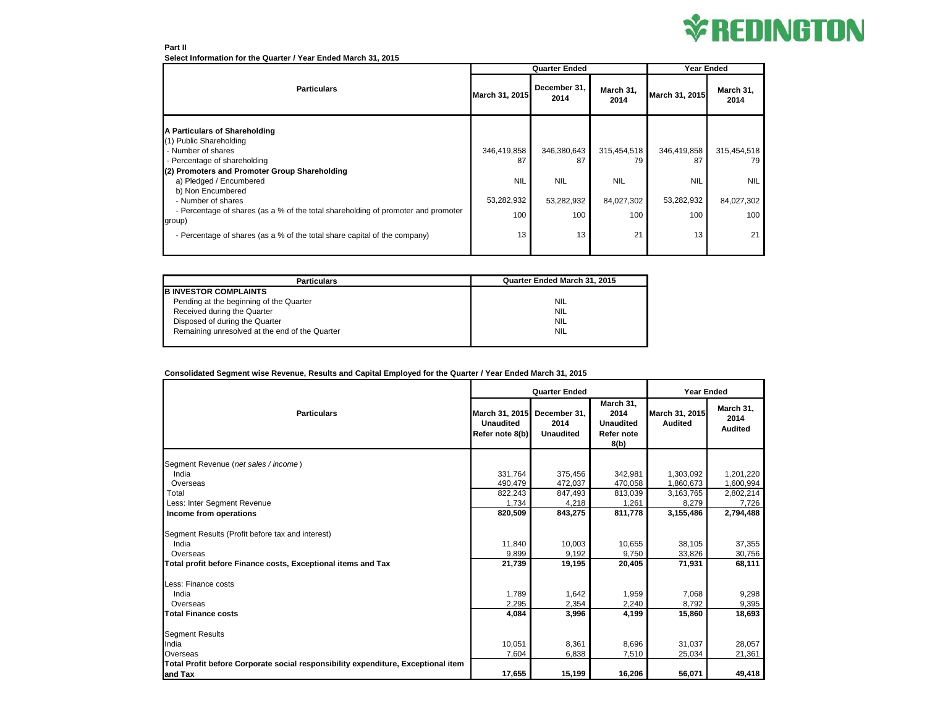

#### **Part II Select Information for the Quarter / Year Ended March 31, 2015**

|                                                                                             | <b>Quarter Ended</b> |                      |                   | <b>Year Ended</b> |                   |
|---------------------------------------------------------------------------------------------|----------------------|----------------------|-------------------|-------------------|-------------------|
| <b>Particulars</b>                                                                          | March 31, 2015       | December 31.<br>2014 | March 31,<br>2014 | March 31, 2015    | March 31,<br>2014 |
| A Particulars of Shareholding                                                               |                      |                      |                   |                   |                   |
| (1) Public Shareholding                                                                     |                      |                      |                   |                   |                   |
| - Number of shares                                                                          | 346,419,858          | 346,380,643          | 315,454,518       | 346,419,858       | 315,454,518       |
| - Percentage of shareholding                                                                | 87                   | 87                   | 79                | 87                | 79                |
| (2) Promoters and Promoter Group Shareholding                                               |                      |                      |                   |                   |                   |
| a) Pledged / Encumbered                                                                     | <b>NIL</b>           | <b>NIL</b>           | <b>NIL</b>        | <b>NIL</b>        | <b>NIL</b>        |
| b) Non Encumbered                                                                           |                      |                      |                   |                   |                   |
| - Number of shares                                                                          | 53,282,932           | 53,282,932           | 84,027,302        | 53,282,932        | 84,027,302        |
| - Percentage of shares (as a % of the total shareholding of promoter and promoter<br>group) | 100                  | 100                  | 100               | 100               | 100               |
| - Percentage of shares (as a % of the total share capital of the company)                   | 13                   | 13                   | 21                | 13                | 21                |
|                                                                                             |                      |                      |                   |                   |                   |

| <b>Particulars</b>                             | Quarter Ended March 31, 2015 |
|------------------------------------------------|------------------------------|
| <b>B INVESTOR COMPLAINTS</b>                   |                              |
| Pending at the beginning of the Quarter        | <b>NIL</b>                   |
| Received during the Quarter                    | <b>NIL</b>                   |
| Disposed of during the Quarter                 | <b>NIL</b>                   |
| Remaining unresolved at the end of the Quarter | <b>NIL</b>                   |
|                                                |                              |

### **Consolidated Segment wise Revenue, Results and Capital Employed for the Quarter / Year Ended March 31, 2015**

|                                                                                   | <b>Quarter Ended</b>                                  |                                          |                                                             | <b>Year Ended</b>                |                                     |  |
|-----------------------------------------------------------------------------------|-------------------------------------------------------|------------------------------------------|-------------------------------------------------------------|----------------------------------|-------------------------------------|--|
| <b>Particulars</b>                                                                | March 31, 2015<br><b>Unaudited</b><br>Refer note 8(b) | December 31,<br>2014<br><b>Unaudited</b> | March 31,<br>2014<br><b>Unaudited</b><br>Refer note<br>8(b) | March 31, 2015<br><b>Audited</b> | March 31,<br>2014<br><b>Audited</b> |  |
|                                                                                   |                                                       |                                          |                                                             |                                  |                                     |  |
| Segment Revenue (net sales / income)                                              |                                                       |                                          |                                                             |                                  |                                     |  |
| India                                                                             | 331,764                                               | 375,456                                  | 342,981                                                     | 1,303,092                        | 1,201,220                           |  |
| Overseas                                                                          | 490.479                                               | 472,037                                  | 470,058                                                     | 1,860,673                        | 1,600,994                           |  |
| Total                                                                             | 822,243                                               | 847,493                                  | 813,039                                                     | 3,163,765                        | 2,802,214                           |  |
| Less: Inter Segment Revenue                                                       | 1,734                                                 | 4,218                                    | 1,261                                                       | 8,279                            | 7,726                               |  |
| Income from operations                                                            | 820,509                                               | 843,275                                  | 811,778                                                     | 3,155,486                        | 2,794,488                           |  |
| Segment Results (Profit before tax and interest)                                  |                                                       |                                          |                                                             |                                  |                                     |  |
| India                                                                             | 11.840                                                | 10,003                                   | 10,655                                                      | 38,105                           | 37,355                              |  |
| Overseas                                                                          | 9.899                                                 | 9,192                                    | 9.750                                                       | 33,826                           | 30,756                              |  |
| Total profit before Finance costs, Exceptional items and Tax                      | 21,739                                                | 19,195                                   | 20,405                                                      | 71,931                           | 68,111                              |  |
| Less: Finance costs                                                               |                                                       |                                          |                                                             |                                  |                                     |  |
| India                                                                             | 1,789                                                 | 1,642                                    | 1,959                                                       | 7,068                            | 9,298                               |  |
| Overseas                                                                          | 2.295                                                 | 2,354                                    | 2,240                                                       | 8,792                            | 9,395                               |  |
| <b>Total Finance costs</b>                                                        | 4,084                                                 | 3,996                                    | 4,199                                                       | 15,860                           | 18,693                              |  |
| <b>Segment Results</b>                                                            |                                                       |                                          |                                                             |                                  |                                     |  |
| India                                                                             | 10,051                                                | 8,361                                    | 8,696                                                       | 31.037                           | 28,057                              |  |
| Overseas                                                                          | 7,604                                                 | 6,838                                    | 7,510                                                       | 25,034                           | 21,361                              |  |
| Total Profit before Corporate social responsibility expenditure, Exceptional item |                                                       |                                          |                                                             |                                  |                                     |  |
| and Tax                                                                           | 17,655                                                | 15,199                                   | 16,206                                                      | 56,071                           | 49,418                              |  |